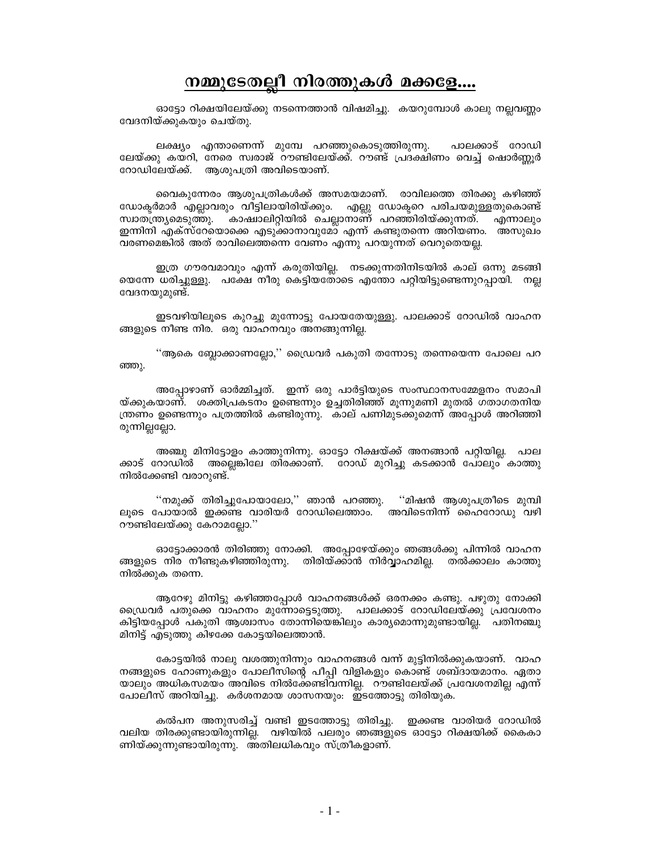## നമ്മുടേതല്ലീ നിരത്തുകൾ മക്കളേ....

ഓടോ റിക്ഷയിലേയ്ക്കു നടന്നെത്താൻ വിഷമിച്ചു. കയറുമ്പോൾ കാലു നല്ലവണ്ണം വേദനിയ്ക്കുകയും ചെയ്തു.

ലക്ഷ്യം എന്താണെന്ന് മുമ്പേ പറഞ്ഞുകൊടുത്തിരുന്നു. പാലക്കാട് റോഡി ലേയ്ക്കു കയറി, നേരെ സ്വരാജ് റൗണ്ടിലേയ്ക്ക്. റൗണ്ട് പ്രദക്ഷിണം വെച്ച് ഷൊർണ്ണൂർ റോഡിലേയ്ക്ക്. ആശുപത്രി അവിടെയാണ്.

വൈകുന്നേരം ആശുപത്രികൾക്ക് അസമയമാണ്. രാവിലത്തെ തിരക്കു കഴിഞ്ഞ് ഡോക്ടർമാർ എല്ലാവരും വീട്ടിലായിരിയ്ക്കും. എല്ലു ഡോക്ടറെ പരിചയമുള്ളതുകൊണ്ട് സ്വാതന്ത്ര്യമെടുത്തു. കാഷ്വാലിറ്റിയിൽ ചെല്ലാനാണ് പറഞ്ഞിരിയ്ക്കുന്നത്. എന്നാലും ഇന്നിനി എക്സ്റേയൊക്കെ എടുക്കാനാവുമോ എന്ന് കണ്ടുതന്നെ അറിയണം. അസുഖം വരണമെങ്കിൽ അത് രാവിലെത്തന്നെ വേണം എന്നു പറയുന്നത് വെറുതെയല്ല.

ഇത്ര ഗൗരവമാവും എന്ന് കരുതിയില്ല. നടക്കുന്നതിനിടയിൽ കാല് ഒന്നു മടങ്ങി യെന്നേ ധരിച്ചുള്ളു. പക്ഷേ നീരു കെട്ടിയതോടെ എന്തോ പറ്റിയിട്ടുണ്ടെന്നുറപ്പായി. നല്ല വേദനയുമുണ്ട്.

ഇടവഴിയിലൂടെ കുറച്ചു മുന്നോട്ടു പോയതേയുള്ളു. പാലക്കാട് റോഡിൽ വാഹന ങ്ങളുടെ നീണ്ട നിര. ഒരു വാഹനവും അനങ്ങുന്നില്ല.

''ആകെ ബ്ലോക്കാണല്ലോ,'' ഡ്രൈവർ പകുതി തന്നോടു തന്നെയെന്ന പോലെ പറ ഞ്ഞു.

അപോഴാണ് ഓർമ്മിച്ചത്. ഇന്ന് ഒരു പാർട്ടിയുടെ സംസ്ഥാനസമ്മേളനം സമാപി യ്ക്കുകയാണ്. ശക്തിപ്രകടനം ഉണ്ടെന്നും ഉച്ചതിരിഞ്ഞ് മൂന്നുമണി മുതൽ ഗതാഗതനിയ ന്ത്രണം ഉണ്ടെന്നും പത്രത്തിൽ കണ്ടിരുന്നു. കാല് പണിമുടക്കുമെന്ന് അപ്പോൾ അറിഞ്ഞി രുന്നില്ലല്ലോ.

അഞ്ചു മിനിട്ടോളം കാത്തുനിന്നു. ഓട്ടോ റിക്ഷയ്ക്ക് അനങ്ങാൻ പറ്റിയില്ല. പാല ക്കാട് റോഡിൽ അല്ലെങ്കിലേ തിരക്കാണ്. റോഡ് മുറിച്ചു കടക്കാൻ പോലും കാത്തു നിൽക്കേണ്ടി വരാറുണ്ട്.

''നമുക്ക് തിരിച്ചുപോയാലോ,'' ഞാൻ പറഞ്ഞു. ''മിഷൻ ആശുപത്രീടെ മുമ്പി ലൂടെ പോയാൽ ഇക്കണ്ട വാരിയർ റോഡിലെത്താം. അവിടെനിന്ന് ഹൈറോഡു വഴി റൗണ്ടിലേയ്ക്കു കേറാമല്ലോ.''

ഓട്ടോക്കാരൻ തിരിഞ്ഞു നോക്കി. അപ്പോഴേയ്ക്കും ഞങ്ങൾക്കു പിന്നിൽ വാഹന ങ്ങളുടെ നിര നീണ്ടുകഴിഞ്ഞിരുന്നു. തിരിയ്ക്കാൻ നിർവ്വാഹമില്ല. തൽക്കാലം കാത്തു നിൽക്കുക തന്നെ.

ആറേഴു മിനിട്ടു കഴിഞ്ഞപ്പോൾ വാഹനങ്ങൾക്ക് ഒരനക്കം കണ്ടു. പഴുതു നോക്കി ഡ്രൈവർ പതുക്കെ വാഹനം മുന്നോട്ടെടുത്തു. പാലക്കാട് റോഡിലേയ്ക്കു പ്രവേശനം കിട്ടിയപ്പോൾ പകുതി ആശ്വാസം തോന്നിയെങ്കിലും കാര്യമൊന്നുമുണ്ടായില്ല. പതിനഞ്ചു മിനിട്ട് എടുത്തു കിഴക്കേ കോട്ടയിലെത്താൻ.

കോട്ടയിൽ നാലു വശത്തുനിന്നും വാഹനങ്ങൾ വന്ന് മുട്ടിനിൽക്കുകയാണ്. വാഹ നങ്ങളുടെ ഹോണുകളും പോലീസിന്റെ പീപ്പി വിളികളും കൊണ്ട് ശബ്ദായമാനം. ഏതാ യാലും അധികസമയം അവിടെ നിൽക്കേണ്ടിവന്നില്ല. റൗണ്ടിലേയ്ക്ക് പ്രവേശനമില്ല എന്ന് പോലീസ് അറിയിച്ചു. കർശനമായ ശാസനയും: ഇടത്തോട്ടു തിരിയുക.

കൽപന അനുസരിച്ച് വണ്ടി ഇടത്തോട്ടു തിരിച്ചു. ഇക്കണ്ട വാരിയർ റോഡിൽ വലിയ തിരക്കുണ്ടായിരുന്നില്ല. വഴിയിൽ പലരും ഞങ്ങളുടെ ഓട്ടോ റിക്ഷയിക്ക് കൈകാ ണിയ്ക്കുന്നുണ്ടായിരുന്നു. അതിലധികവും സ്ത്രീകളാണ്.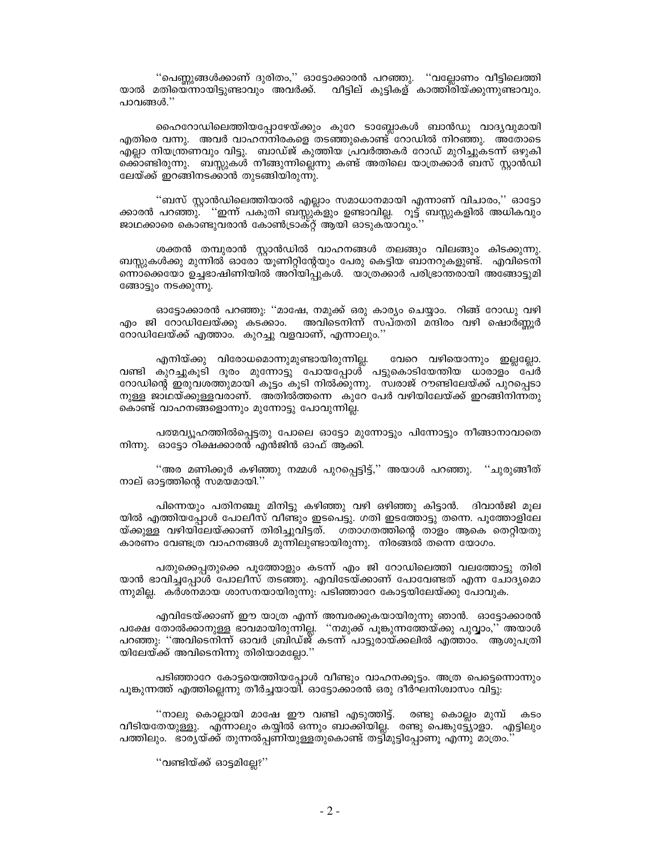"പെണ്ണുങ്ങൾക്കാണ് ദുരിതം," ഓട്ടോക്കാരൻ പറഞ്ഞു. "വല്ലോണം വീട്ടിലെത്തി യാൽ മതിയെന്നായിട്ടുണ്ടാവും അവർക്ക്. വീട്ടില് കുട്ടികള് കാത്തി്രിയ്ക്കുന്നുണ്ടാവും. പാവങ്ങൾ.''

ഹൈറോഡിലെത്തിയപ്പോഴേയ്ക്കും കുറേ ടാബ്ലോകൾ ബാൻഡു വാദ്യവുമായി .എതിരെ വന്നു. അവർ വാഹനനിരകളെ തടഞ്ഞുകൊണ്ട് റോഡിൽ നിറഞ്ഞു. അതോടെ എല്ലാ നിയന്ത്രണവും വിട്ടു. ബാഡ്ജ് കുത്തിയ പ്രവർത്തകർ റോഡ് മുറിച്ചുകടന്ന് ഒഴുകി ക്കൊണ്ടിരുന്നു. ബസ്സുകൾ നീങ്ങുന്നില്ലെന്നു കണ്ട് അതിലെ യാത്രക്കാർ ബസ് സ്റ്റാൻഡി ലേയ്ക്ക് ഇറങ്ങിനടക്കാൻ തുടങ്ങിയിരുന്നു.

''ബസ് സ്റ്റാൻഡിലെത്തിയാൽ എല്ലാം സമാധാനമായി എന്നാണ് വിചാരം,'' ഓട്ടോ ക്കാരൻ പറഞ്ഞു്. ''ഇന്ന് പകുതി ബസ്സുകളും ഉണ്ടാവില്ല. റൂട്ട് ബസ്സുകളിൽ അധികവും ജാഥക്കാരെ കൊണ്ടുവരാൻ കോൺട്രാക്റ്റ് ആയി ഓടുകയാവും.'

ശക്തൻ തമ്പുരാൻ സ്റ്റാൻഡിൽ വാഹനങ്ങൾ തലങ്ങും വിലങ്ങും കിടക്കുന്നു. ബസ്സുകൾക്കു മുന്നിൽ ഓരോ യൂണിറ്റിന്റേയും പേരു കെട്ടിയ ബാനറുകളുണ്ട്. എവിടെനി ന്നൊക്കെയോ ഉച്ചഭാഷിണിയിൽ അറിയിപ്പുകൾ. യാത്രക്കാർ പരിഭ്രാന്തരായി അങ്ങോട്ടുമി ങ്ങോട്ടും നടക്കുന്നു.

ഓട്ടോക്കാരൻ പറഞ്ഞു: ''മാഷേ, നമുക്ക് ഒരു കാര്യം ചെയ്യാം. റിങ്ങ് റോഡു വഴി അവിടെനിന്ന് സപ്തതി മന്ദിരം വഴി ഷൊർണ്ണൂർ എം ജി റോഡിലേയ്ക്കു കടക്കാം. റോഡിലേയ്ക്ക് എത്താം. കുറച്ചു വളവാണ്, എന്നാലും.''

എനിയ്ക്കു വിരോധമൊന്നുമുണ്ടായിരുന്നില്ല. വേറെ വഴിയൊന്നും ഇല്ലല്ലോ. വണ്ടി കുറച്ചുകൂടി ദൂരം മുന്നോട്ടു പോയപ്പോൾ പട്ടുകൊടിയേന്തിയ ധാരാളം പേർ റോഡിന്റെ ഇരുവശത്തുമായി കൂട്ടം കൂടി നിൽക്കുന്നു. സ്വരാജ് റൗണ്ടിലേയ്ക്ക് പുറപ്പെടാ നുള്ള ജാഥയ്ക്കുള്ളവരാണ്. അതിൽത്തന്നെ കുറേ പേർ വഴിയിലേയ്ക്ക് ഇറങ്ങിനിന്നതു കൊണ്ട് വാഹനങ്ങളൊന്നും മുന്നോട്ടു പോവുന്നില്ല.

പത്മവ്യൂഹത്തിൽപ്പെട്ടതു പോലെ ഓട്ടോ മുന്നോട്ടും പിന്നോട്ടും നീങ്ങാനാവാതെ നിന്നു. ഓട്ടോ റിക്ഷക്കാരന്റ് എൻജിൻ ഓഫ് ആക്കി.

"അര മണിക്കുർ കഴിഞ്ഞു നമ്മൾ പുറപ്പെട്ടിട്ട്," അയാൾ പറഞ്ഞു. ് ചുരുങ്ങീത് നാല് ഓട്ടത്തിന്റെ സമയമായി.''

പിന്നെയും പതിനഞ്ചു മിനിട്ടു കഴിഞ്ഞു വഴി ഒഴിഞ്ഞു കിട്ടാൻ. ദിവാൻജി മൂല യിൽ എത്തിയപ്പോൾ പോലീസ് വീണ്ടും ഇടപെട്ടു. ഗതി ഇടത്തോട്ടു തന്നെ. പൂത്തോളിലേ യ്ക്കുള്ള വഴിയിലേയ്ക്കാണ് തിരിച്ചുവിട്ടത്. ഗതാഗതത്തിന്റെ താളം ആകെ തെറ്റിയതു കാരണം വേണ്ടത്ര വാഹനങ്ങൾ മുന്നിലുണ്ടായിരുന്നു. നിരങ്ങൽ തന്നെ യോഗം.

പതുക്കെപ്പതുക്കെ പൂത്തോളും കടന്ന് എം ജി റോഡിലെത്തി വലത്തോട്ടു തിരി യാൻ ഭാവിച്ചപ്പോൾ പോലീസ് തടഞ്ഞു. എവിടേയ്ക്കാണ് പോവേണ്ടത് എന്ന ചോദ്യമൊ ന്നുമില്ല. കർശനമായ ശാസനയായിരുന്നു: പടിഞ്ഞാറേ കോട്ടയിലേയ്ക്കു പോവുക.

എവിടേയ്ക്കാണ് ഈ യാത്ര എന്ന് അമ്പരക്കുകയായിരുന്നു ഞാൻ. ഓട്ടോക്കാരൻ പക്ഷേ തോൽക്കാനുള്ള ഭാവമായിരുന്നില്ല. ''നമുക്ക് പൂങ്കുന്നത്തേയ്ക്കു പുവ്വാം,'' അയാൾ പറഞ്ഞു: ''അവിടെനിന്ന് ഓവർ ബ്രിഡ്ജ് കടന്ന് പാട്ടുരായ്ക്കലിൽ എത്താം. ആശുപത്രി യിലേയ്ക്ക് അവിടെനിന്നു തിരിയാമല്ലോ.''

പടിഞ്ഞാറേ കോട്ടയെത്തിയപ്പോൾ വീണ്ടും വാഹനക്കൂട്ടം. അത്ര പെട്ടെന്നൊന്നും പൂങ്കുന്നത്ത് എത്തില്ലെന്നു തീർച്ചയായി. ഓട്ടോക്കാരൻ ഒരു ദീർഘനിശ്വാസം വിട്ടു:

"നാലു കൊല്ലായി മാഷേ ഈ വണ്ടി എടുത്തിട്ട്. രണ്ടു കൊല്ലം മുമ്പ് കടം വീടിയതേയുള്ളു. എന്നാലും കയ്യിൽ ഒന്നും ബാക്കിയില്ല. രണ്ടു പെങ്കുട്ട്യോളാ. എട്ടിലും പത്തിലും. ഭാര്യയ്ക്ക് തുന്നൽപ്പണിയുള്ളതുകൊണ്ട് തട്ടിമുട്ടിപ്പോണൂ എന്നു മാത്രം.

"വണ്ടിയ്ക്ക് ഓട്ടമില്ലേ?"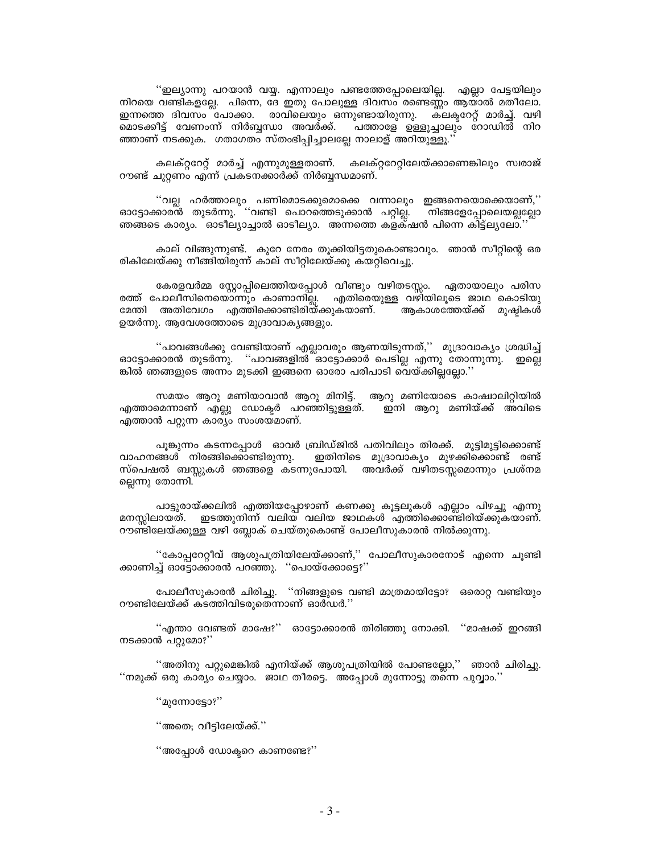''ഇല്യാന്നു പറയാൻ വയ്യ. എന്നാലും പണ്ടത്തേപോലെയില്ല. എല്ലാ പേട്ടയിലും നിറയെ വണ്ടികളല്ലേ. പിന്നെ, ദേ ഇതു പോലുള്ള ദിവസം രണ്ടെണ്ണം ആയാൽ മതീലോ. ഇന്നത്തെ ദിവസം പോക്കാ. രാവിലെയും ഒന്നുണ്ടായിരുന്നു. കലകറേറ്റ് മാർച്ച്. വഴി മൊടക്കീട്ട് വേണംന്ന് നിർബ്ബന്ധാ അവർക്ക്. പത്താളേ ഉള്ളൂച്ചാലും റോഡിൽ നിറ ഞ്ഞാണ് നടക്കുക. ഗതാഗതം സ്തംഭിപ്പിച്ചാലല്ലേ നാലാള് അറിയുള്ളൂ.'

കലക്റ്ററേറ്റ് മാർച്ച് എന്നുമുള്ളതാണ്. കലക്റ്ററേറ്റിലേയ്ക്കാണെങ്കിലും സ്വരാജ് റൗണ്ട് ചുറ്റണം എന്ന് പ്രകടനക്കാർക്ക് നിർബ്ബന്ധമാണ്.

''വല്ല ഹർത്താലും പണിമൊടക്കുമൊക്കെ വന്നാലും ഇങ്ങനെയൊക്കെയാണ്,'' ഓട്ടോക്കാര്ൻ തുടർന്നു. ''വണ്ടി പൊറത്തെടുക്കാൻ പറ്റില്ല. നിങ്ങളേപ്പോലെയല്ലല്ലോ ഞങ്ങടെ കാര്യം. ഓടീല്യാച്ചാൽ ഓടീല്യാ. അന്നത്തെ കളക്ഷൻ പിന്നെ കിട്ട്ല്യലോ.'

കാല് വിങ്ങുന്നുണ്ട്. കുറേ നേരം തൂക്കിയിട്ടതുകൊണ്ടാവും. ഞാൻ സീറ്റിന്റെ ഒര രികിലേയ്ക്കു നീങ്ങിയിരുന്ന് കാല് സീറ്റിലേയ്ക്കു കയറ്റിവെച്ചു.

കേരളവർമ്മ സ്റ്റോപ്പിലെത്തിയപ്പോൾ വീണ്ടും വഴിതടസ്സം. ഏതായാലും പരിസ രത്ത് പോലീസിനെയൊന്നും കാണാനില്ല. എതിരെയുള്ള വഴിയിലൂടെ ജാഥ കൊടിയു മേന്തി അതിവേഗം എത്തിക്കൊണ്ടിരിയ്ക്കുകയാണ്. ആകാശത്തേയ്ക്ക് മുഷ്ഠികൾ ഉയർന്നു. ആവേശത്തോടെ മുദ്രാവാകൃങ്ങളും.

"പാവങ്ങൾക്കു വേണ്ടിയാണ് എല്ലാവരും ആണയിടുന്നത്,'' മുദ്രാവാക്യം ശ്രദ്ധിച്ച് ഓട്ടോക്കാരൻ തുടർന്നു. ''പാവങ്ങളിൽ ്ഓട്ടോക്കാർ പെടില്ല എന്നു തോന്നുന്നു. ഇല്ലെ ങ്കിൽ ഞങ്ങളുടെ അന്നം മുടക്കി ഇങ്ങനെ ഓരോ പരിപാടി വെയ്ക്കില്ലല്ലോ.''

സമയം ആറു മണിയാവാൻ ആറു മിനിട്ട്. ആറു മണിയോടെ കാഷ്വാലിറ്റിയിൽ എത്താമെന്നാണ് എല്ലു ഡോക്ടർ പറഞ്ഞിട്ടുള്ളത്. ഇനി ആറു മണിയ്ക്ക് അവിടെ എത്താൻ പറ്റുന്ന കാര്യം സംശയ്മാണ്.

പൂങ്കുന്നം കടന്നപ്പോൾ ഓവർ ബ്രിഡ്ജിൽ പതിവിലും തിരക്ക്. മുട്ടിമുട്ടിക്കൊണ്ട് വാഹനങ്ങൾ നിരങ്ങിക്കൊണ്ടിരുന്നു. ഇതിനിടെ മുദ്രാവാക്യം മുഴക്കിക്കൊണ്ട് രണ്ട് സ്പെഷൽ ബസ്കുകൾ ഞങ്ങളെ കടന്നുപോയി. അവർക്ക് വഴിതടസ്സമൊന്നും പ്രശ്നമ ല്ലെന്നു തോന്നി.

പാട്ടുരായ്ക്കലിൽ എത്തിയപ്പോഴാണ് കണക്കു കൂട്ടലുകൾ എല്ലാം പിഴച്ചു എന്നു ് ഇടത്തുനിന്ന് വലിയ വലിയ ജാഥകൾ എത്തിക്കൊണ്ടിരിയ്ക്കുകയാണ്. മനസിലായത്. റൗണ്ടിലേയ്ക്കുള്ള വഴി ബ്ലോക് ചെയ്തുകൊണ്ട് പോലീസുകാരൻ നിൽക്കുന്നു.

"കോപ്പറേറ്റീവ് ആശുപത്രിയിലേയ്ക്കാണ്,'' പോലീസുകാരനോട് എന്നെ ചുണ്ടി ക്കാണിച്ച് ഓട്ടോക്കാരൻ പറഞ്ഞു. ''പൊയ്ക്കോട്ടെ?''

പോലീസുകാരൻ ചിരിച്ചു. ''നിങ്ങളുടെ വണ്ടി മാത്രമായിട്ടോ? ഒരൊറ്റ വണ്ടിയും റൗണ്ടിലേയ്ക്ക് കടത്തിവിടരുതെന്നാണ് ഓർഡർ.''

''എന്താ വേണ്ടത് മാഷേ?'' ഓട്ടോക്കാരൻ തിരിഞ്ഞു നോക്കി. ''മാഷക്ക് ഇറങ്ങി നടക്കാൻ പറ്റുമോ?''

''അതിനു പറ്റുമെങ്കിൽ എനിയ്ക്ക് ആശുപത്രിയിൽ പോണ്ടല്ലോ,'' ഞാൻ ചിരിച്ചു. ''നമുക്ക് ഒരു കാര്യം ചെയ്യാം. ജാഥ തീരട്ടെ. അപ്പോൾ മുന്നോട്ടു തന്നെ പുവ്വാം.''

 $"$ മുന്നോടോ? $"$ 

''അതെ; വീട്ടിലേയ്ക്.''

''അപ്പോൾ ഡോക്വറെ കാണണ്ടേ?''